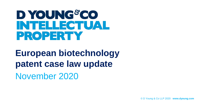# D YOUNG&CO **INTELLECTUAL PROPERTY**

**European biotechnology patent case law update** November 2020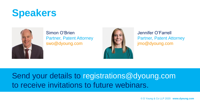



#### Simon O'Brien Partner, Patent Attorney swo@dyoung.com



Jennifer O'Farrell Partner, Patent Attorney jmo@dyoung.com

#### Send your details to registrations@dyoung.com to receive invitations to future webinars.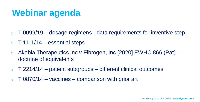#### **Webinar agenda**

- $\circ$  T 0099/19 dosage regimens data requirements for inventive step
- $\circ$  T 1111/14 essential steps
- o Akebia Therapeutics Inc v Fibrogen, Inc [2020] EWHC 866 (Pat) doctrine of equivalents
- $\circ$  T 2214/14 patient subgroups different clinical outcomes
- $\circ$  T 0870/14 vaccines comparison with prior art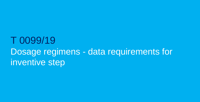#### T 0099/19 Dosage regimens - data requirements for inventive step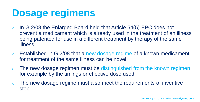# **Dosage regimens**

- $\circ$  In G 2/08 the Enlarged Board held that Article 54(5) EPC does not prevent a medicament which is already used in the treatment of an illness being patented for use in a different treatment by therapy of the same illness.
- $\circ$  Established in G 2/08 that a new dosage regime of a known medicament for treatment of the same illness can be novel.
- $\circ$  The new dosage regimen must be distinguished from the known regimen for example by the timings or effective dose used.
- The new dosage regime must also meet the requirements of inventive step.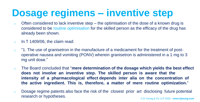# **Dosage regimens – inventive step**

- o Often considered to lack inventive step the optimisation of the dose of a known drug is considered to be routine optimisation for the skilled person as the efficacy of the drug has already been shown.
- $\circ$  In T 1409/06, the claim read:
- o "1. The use of granisetron in the manufacture of a medicament for the treatment of postoperative nausea and vomiting (PONV) wherein granisetron is administered in a 1 mg to 3 mg unit dose."
- o The Board concluded that "**mere determination of the dosage which yields the best effect does not involve an inventive step. The skilled person is aware that the intensity of a pharmacological effect depends inter alia on the concentration of the active ingredient. This is, therefore, a matter of mere routine optimization.**"
- © D Young & Co LLP 2020 **www.dyoung.com** o Dosage regime patents also face the risk of the closest prior art disclosing future potential research or hypotheses.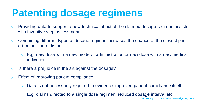# **Patenting dosage regimens**

- o Providing data to support a new technical effect of the claimed dosage regimen assists with inventive step assessment.
- o Combining different types of dosage regimes increases the chance of the closest prior art being "more distant".
	- $\circ$  E.g. new dose with a new mode of administration or new dose with a new medical indication.
- o Is there a prejudice in the art against the dosage?
- o Effect of improving patient compliance.
	- o Data is not necessarily required to evidence improved patient compliance itself.
	- $\circ$  E.g. claims directed to a single dose regimen, reduced dosage interval etc.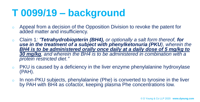# **T 0099/19 – background**

- o Appeal from a decision of the Opposition Division to revoke the patent for added matter and insufficiency.
- o Claim 1*: "Tetrahydrobiopterin (BH4), or optionally a salt form thereof, for use in the treatment of a subject with phenylketonuria (PKU), wherein the BH4 is to be administered orally once daily at a daily dose of 5 mg/kg to 30 mg/kg, and wherein the BH4 is to be administered in combination with a protein restricted diet."*
- o PKU is caused by a deficiency in the liver enzyme phenylalanine hydroxylase (PAH).
- o In non-PKU subjects, phenylalanine (Phe) is converted to tyrosine in the liver by PAH with BH4 as cofactor, keeping plasma Phe concentrations low.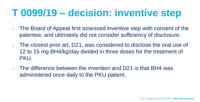- $\circ$  The Board of Appeal first assessed inventive step with consent of the patentee, and ultimately did not consider sufficiency of disclosure.
- $\circ$  The closest prior art, D21, was considered to disclose the oral use of 12 to 15 mg BH4/kg/day divided in three doses for the treatment of PKU.
- The difference between the invention and D21 is that BH4 was administered once daily to the PKU patient.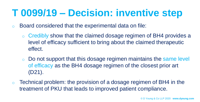- o Board considered that the experimental data on file:
	- o Credibly show that the claimed dosage regimen of BH4 provides a level of efficacy sufficient to bring about the claimed therapeutic effect.
	- o Do not support that this dosage regimen maintains the same level of efficacy as the BH4 dosage regimen of the closest prior art (D21).
- $\circ$  Technical problem: the provision of a dosage regimen of BH4 in the treatment of PKU that leads to improved patient compliance.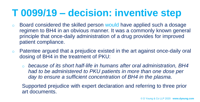- o Board considered the skilled person would have applied such a dosage regimen to BH4 in an obvious manner. It was a commonly known general principle that once-daily administration of a drug provides for improved patient compliance.
- o Patentee argued that a prejudice existed in the art against once-daily oral dosing of BH4 in the treatment of PKU:
	- o *because of its short half-life in humans after oral administration, BH4 had to be administered to PKU patients in more than one dose per day to ensure a sufficient concentration of BH4 in the plasma.*

Supported prejudice with expert declaration and referring to three prior art documents.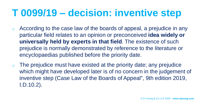- o According to the case law of the boards of appeal, a prejudice in any particular field relates to an opinion or preconceived **idea widely or universally held by experts in that field**. The existence of such prejudice is normally demonstrated by reference to the literature or encyclopaedias published before the priority date.
- $\circ$  The prejudice must have existed at the priority date; any prejudice which might have developed later is of no concern in the judgement of inventive step (Case Law of the Boards of Appeal", 9th edition 2019, I.D.10.2).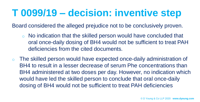Board considered the alleged prejudice not to be conclusively proven.

- o No indication that the skilled person would have concluded that oral once-daily dosing of BH4 would not be sufficient to treat PAH deficiencies from the cited documents.
- o The skilled person would have expected once-daily administration of BH4 to result in a lesser decrease of serum Phe concentrations than BH4 administered at two doses per day. However, no indication which would have led the skilled person to conclude that oral once-daily dosing of BH4 would not be sufficient to treat PAH deficiencies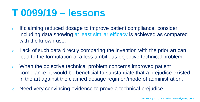#### **T 0099/19 – lessons**

- o If claiming reduced dosage to improve patient compliance, consider including data showing at least similar efficacy is achieved as compared with the known use.
- $\circ$  Lack of such data directly comparing the invention with the prior art can lead to the formulation of a less ambitious objective technical problem.
- o When the objective technical problem concerns improved patient compliance, it would be beneficial to substantiate that a prejudice existed in the art against the claimed dosage regimen/mode of administration.
- o Need very convincing evidence to prove a technical prejudice.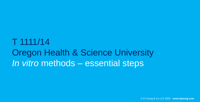#### T 1111/14 Oregon Health & Science University *In vitro* methods – essential steps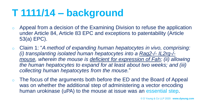# **T 1111/14 – background**

- o Appeal from a decision of the Examining Division to refuse the application under Article 84, Article 83 EPC and exceptions to patentability (Article 53(a) EPC).
- o Claim 1: "*A method of expanding human hepatocytes in vivo, comprising: (i) transplanting isolated human hepatocytes into a Rag2-/- IL2rg-/ mouse, wherein the mouse is deficient for expression of Fah; (ii) allowing the human hepatocytes to expand for at least about two weeks; and (iii) collecting human hepatocytes from the mouse.*"
- The focus of the arguments both before the ED and the Board of Appeal was on whether the additional step of administering a vector encoding human urokinase (uPA) to the mouse at issue was an essential step.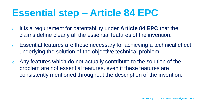# **Essential step – Article 84 EPC**

- o It is a requirement for patentability under **Article 84 EPC** that the claims define clearly all the essential features of the invention.
- o Essential features are those necessary for achieving a technical effect underlying the solution of the objective technical problem.
- $\circ$  Any features which do not actually contribute to the solution of the problem are not essential features, even if these features are consistently mentioned throughout the description of the invention.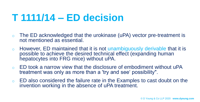## **T 1111/14 – ED decision**

- o The ED acknowledged that the urokinase (uPA) vector pre-treatment is not mentioned as essential.
- o However, ED maintained that it is not unambiguously derivable that it is possible to achieve the desired technical effect (expanding human hepatocytes into FRG mice) without uPA.
- $\circ$  ED took a narrow view that the disclosure of embodiment without uPA treatment was only as more than a 'try and see' possibility".
- $\circ$  ED also considered the failure rate in the Examples to cast doubt on the invention working in the absence of uPA treatment.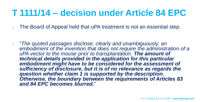#### **T 1111/14 – decision under Article 84 EPC**

The Board of Appeal held that uPA treatment is not an essential step.

o "*The quoted passages disclose, clearly and unambiguously, an embodiment of the invention that does not require the administration of a uPA vector to the mouse prior to transplantation. The amount of technical details provided in the application for this particular embodiment might have to be considered for the assessment of sufficiency of disclosure, but it is of no relevance as regards the question whether claim 1 is supported by the description. Otherwise, the boundary between the requirements of Articles 83 and 84 EPC becomes blurred.*"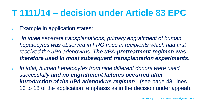#### **T 1111/14 – decision under Article 83 EPC**

- o Example in application states:
- o "*In three separate transplantations, primary engraftment of human hepatocytes was observed in FRG mice in recipients which had first received the uPA adenovirus. The uPA-pretreatment regimen was therefore used in most subsequent transplantation experiments.*
- o *In total, human hepatocytes from nine different donors were used successfully and no engraftment failures occurred after introduction of the uPA adenovirus regimen.*" (see page 43, lines 13 to 18 of the application; emphasis as in the decision under appeal).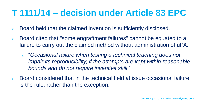#### **T 1111/14 – decision under Article 83 EPC**

- o Board held that the claimed invention is sufficiently disclosed.
- o Board cited that "some engraftment failures" cannot be equated to a failure to carry out the claimed method without administration of uPA.
	- o "*Occasional failure when testing a technical teaching does not impair its reproducibility, if the attempts are kept within reasonable bounds and do not require inventive skill.*"
- Board considered that in the technical field at issue occasional failure is the rule, rather than the exception.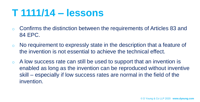#### **T 1111/14 – lessons**

- o Confirms the distinction between the requirements of Articles 83 and 84 EPC.
- $\circ$  No requirement to expressly state in the description that a feature of the invention is not essential to achieve the technical effect.
- $\circ$  A low success rate can still be used to support that an invention is enabled as long as the invention can be reproduced without inventive skill – especially if low success rates are normal in the field of the invention.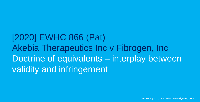[2020] EWHC 866 (Pat) Akebia Therapeutics Inc v Fibrogen, Inc Doctrine of equivalents – interplay between validity and infringement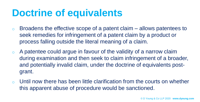# **Doctrine of equivalents**

- $\circ$  Broadens the effective scope of a patent claim allows patentees to seek remedies for infringement of a patent claim by a product or process falling outside the literal meaning of a claim.
- $\circ$  A patentee could argue in favour of the validity of a narrow claim during examination and then seek to claim infringement of a broader, and potentially invalid claim, under the doctrine of equivalents postgrant.
- $\circ$  Until now there has been little clarification from the courts on whether this apparent abuse of procedure would be sanctioned.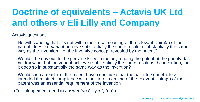#### **Doctrine of equivalents – Actavis UK Ltd and others v Eli Lilly and Company**

Actavis questions:

- i. Notwithstanding that it is not within the literal meaning of the relevant claim(s) of the patent, does the variant achieve substantially the same result in substantially the same way as the invention, i.e. the inventive concept revealed by the patent?
- ii. Would it be obvious to the person skilled in the art, reading the patent at the priority date, but knowing that the variant achieves substantially the same result as the invention, that it does so in substantially the same way as the invention?
- iii. Would such a reader of the patent have concluded that the patentee nonetheless intended that strict compliance with the literal meaning of the relevant claim(s) of the patent was an essential requirement of the invention?

(For infringement need to answer "yes", "yes", "no".)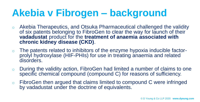# **Akebia v Fibrogen – background**

- o Akebia Therapeutics, and Otsuka Pharmaceutical challenged the validity of six patents belonging to FibroGen to clear the way for launch of their **vadadustat** product for the **treatment of anaemia associated with chronic kidney disease (CKD)**.
- $\circ$  The patents related to inhibitors of the enzyme hypoxia inducible factorprolyl hydroxylase (HIF-PHIs) for use in treating anaemia and related disorders.
- During the validity action, FibroGen had limited a number of claims to one specific chemical compound (compound C) for reasons of sufficiency.
- o FibroGen then argued that claims limited to compound C were infringed by vadadustat under the doctrine of equivalents.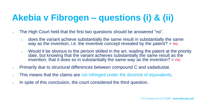#### **Akebia v Fibrogen – questions (i) & (ii)**

- o The High Court held that the first two questions should be answered "no".
	- o does the variant achieve substantially the same result in substantially the same way as the invention, i.e. the inventive concept revealed by the patent? = no.
	- $\circ$  Would it be obvious to the person skilled in the art, reading the patent at the priority date, but knowing that the variant achieves substantially the same result as the invention, that it does so in substantially the same way as the invention?  $=$  no.
- o Primarily due to structural differences between compound C and vadadustat.
- o This means that the claims are not infringed under the doctrine of equivalents.
- o In spite of this conclusion, the court considered the third question.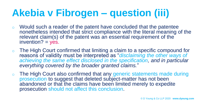# **Akebia v Fibrogen – question (iii)**

- o Would such a reader of the patent have concluded that the patentee nonetheless intended that strict compliance with the literal meaning of the relevant claim(s) of the patent was an essential requirement of the  $invention? = yes.$
- $\circ$  The High Court confirmed that limiting a claim to a specific compound for reasons of validity must be interpreted as "*disclaiming the other ways of*  achieving the same effect disclosed in the specification, and in particular *everything covered by the broader granted claims.*"
- The High Court also confirmed that any generic statements made during prosecution to suggest that deleted subject-matter has not been abandoned or that the claims have been limited merely to expedite prosecution should not affect this conclusion.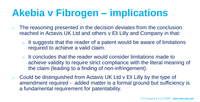# **Akebia v Fibrogen – implications**

- $\circ$  The reasoning presented in the decision deviates from the conclusion reached in Actavis UK Ltd and others v Eli Lilly and Company in that:
	- $\circ$  It suggests that the reader of a patent would be aware of limitations required to achieve a valid claim.
	- o It concludes that the reader would consider limitations made to achieve validity to require strict compliance with the literal meaning of the claim (leading to a finding of non-infringement).
- o Could be distinguished from Actavis UK Ltd v Eli Lilly by the type of amendment required - added matter is a formal ground but sufficiency is a fundamental requirement for patentability.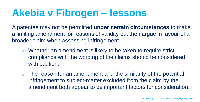## **Akebia v Fibrogen – lessons**

A patentee may not be permitted **under certain circumstances** to make a limiting amendment for reasons of validity but then argue in favour of a broader claim when assessing infringement.

- o Whether an amendment is likely to be taken to require strict compliance with the wording of the claims should be considered with caution.
- $\circ$  The reason for an amendment and the similarity of the potential infringement to subject-matter excluded from the claim by the amendment both appear to be important factors for consideration.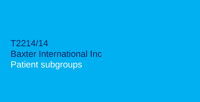T2214/14 Baxter International Inc Patient subgroups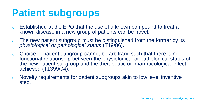# **Patient subgroups**

- Established at the EPO that the use of a known compound to treat a known disease in a new group of patients can be novel.
- $\circ$  The new patient subgroup must be distinguished from the former by its *physiological or pathological status* (T19/86).
- o Choice of patient subgroup cannot be arbitrary, such that there is no functional relationship between the physiological or pathological status of the new patient subgroup and the therapeutic or pharmacological effect achieved (T1399/04).
- o Novelty requirements for patient subgroups akin to low level inventive step.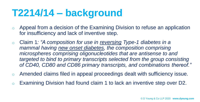# **T2214/14 – background**

- o Appeal from a decision of the Examining Division to refuse an application for insufficiency and lack of inventive step.
- o Claim 1*: "A composition for use in reversing Type-1 diabetes in a mammal having new onset diabetes, the composition comprising microspheres comprising oligonucleotides that are antisense to and targeted to bind to primary transcripts selected from the group consisting of CD40, CD80 and CD86 primary transcripts, and combinations thereof."*
- o Amended claims filed in appeal proceedings dealt with sufficiency issue.
- o Examining Division had found claim 1 to lack an inventive step over D2.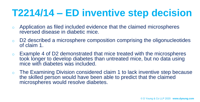# **T2214/14 – ED inventive step decision**

- o Application as filed included evidence that the claimed microspheres reversed disease in diabetic mice.
- o D2 described a microsphere composition comprising the oligonucleotides of claim 1.
- $\circ$  Example 4 of D2 demonstrated that mice treated with the microspheres took longer to develop diabetes than untreated mice, but no data using mice with diabetes was included.
- o The Examining Division considered claim 1 to lack inventive step because the skilled person would have been able to predict that the claimed microspheres would resolve diabetes.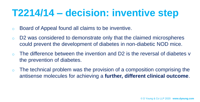## **T2214/14 – decision: inventive step**

- o Board of Appeal found all claims to be inventive.
- o D2 was considered to demonstrate only that the claimed microspheres could prevent the development of diabetes in non-diabetic NOD mice.
- The difference between the invention and D2 is the reversal of diabetes v the prevention of diabetes.
- $\circ$  The technical problem was the provision of a composition comprising the antisense molecules for achieving a **further, different clinical outcome**.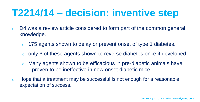# **T2214/14 – decision: inventive step**

- o D4 was a review article considered to form part of the common general knowledge.
	- o 175 agents shown to delay or prevent onset of type 1 diabetes.
	- only 6 of these agents shown to reverse diabetes once it developed.
	- o Many agents shown to be efficacious in pre-diabetic animals have proven to be ineffective in new onset diabetic mice.
- o Hope that a treatment may be successful is not enough for a reasonable expectation of success.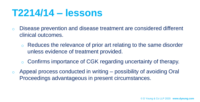#### **T2214/14 – lessons**

- o Disease prevention and disease treatment are considered different clinical outcomes.
	- o Reduces the relevance of prior art relating to the same disorder unless evidence of treatment provided.
	- o Confirms importance of CGK regarding uncertainty of therapy.
- $\circ$  Appeal process conducted in writing possibility of avoiding Oral Proceedings advantageous in present circumstances.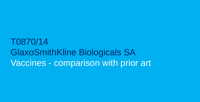#### T0870/14 GlaxoSmithKline Biologicals SA Vaccines - comparison with prior art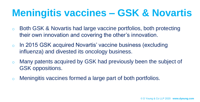# **Meningitis vaccines – GSK & Novartis**

- o Both GSK & Novartis had large vaccine portfolios, both protecting their own innovation and covering the other's innovation.
- o In 2015 GSK acquired Novartis' vaccine business (excluding influenza) and divested its oncology business.
- o Many patents acquired by GSK had previously been the subject of GSK oppositions.
- Meningitis vaccines formed a large part of both portfolios.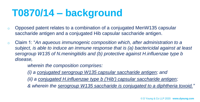# **T0870/14 – background**

- o Opposed patent relates to a combination of a conjugated MenW135 capsular saccharide antigen and a conjugated Hib capsular saccharide antigen.
- o Claim 1: "*An aqueous immunogenic composition which, after administration to a subject, is able to induce an immune response that is (a) bactericidal against at least serogroup W135 of N.meningitidis and (b) protective against H.influenzae type b disease,*

*wherein the composition comprises:* 

*(i) a conjugated serogroup W135 capsular saccharide antigen; and* 

*(ii) a conjugated H.influenzae type b ('Hib') capsular saccharide antigen;*

*& wherein the serogroup W135 saccharide is conjugated to a diphtheria toxoid."*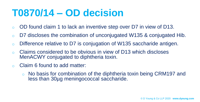### **T0870/14 – OD decision**

- o OD found claim 1 to lack an inventive step over D7 in view of D13.
- $\circ$  D7 discloses the combination of unconjugated W135 & conjugated Hib.
- o Difference relative to D7 is conjugation of W135 saccharide antigen.
- o Claims considered to be obvious in view of D13 which discloses MenACWY conjugated to diphtheria toxin.
- o Claim 6 found to add matter:
	- o No basis for combination of the diphtheria toxin being CRM197 and less than 30µg meningococcal saccharide.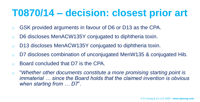## **T0870/14 – decision: closest prior art**

- o GSK provided arguments in favour of D6 or D13 as the CPA.
- o D6 discloses MenACW135Y conjugated to diphtheria toxin.
- o D13 discloses MenACW135Y conjugated to diphtheria toxin.
- o D7 discloses combination of unconjugated MenW135 & conjugated Hib.
- o Board concluded that D7 is the CPA.
- o "*Whether other documents constitute a more promising starting point is immaterial … since the Board holds that the claimed invention is obvious when starting from … D7*".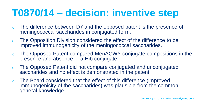- o The difference between D7 and the opposed patent is the presence of meningococcal saccharides in conjugated form.
- o The Opposition Division considered the effect of the difference to be improved immunogenicity of the meningococcal saccharides.
- The Opposed Patent compared MenACWY conjugate compositions in the presence and absence of a Hib conjugate.
- The Opposed Patent did not compare conjugated and unconjugated saccharides and no effect is demonstrated in the patent.
- The Board considered that the effect of this difference (improved immunogenicity of the saccharides) was plausible from the common general knowledge.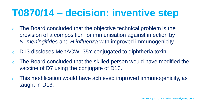- o The Board concluded that the objective technical problem is the provision of a composition for immunisation against infection by *N. meningitides* and *H.influenza* with improved immunogenicity.
- o D13 discloses MenACW135Y conjugated to diphtheria toxin.
- o The Board concluded that the skilled person would have modified the vaccine of D7 using the conjugate of D13.
- o This modification would have achieved improved immunogenicity, as taught in D13.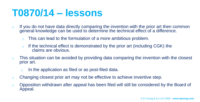#### **T0870/14 – lessons**

- $\circ$  If you do not have data directly comparing the invention with the prior art then common general knowledge can be used to determine the technical effect of a difference.
	- o This can lead to the formulation of a more ambitious problem.
	- o If the technical effect is demonstrated by the prior art (including CGK) the claims are obvious.
- $\circ$  This situation can be avoided by providing data comparing the invention with the closest prior art.
	- o In the application as filed or as post-filed data.
- o Changing closest prior art may not be effective to achieve inventive step.
- o Opposition withdrawn after appeal has been filed will still be considered by the Board of Appeal.